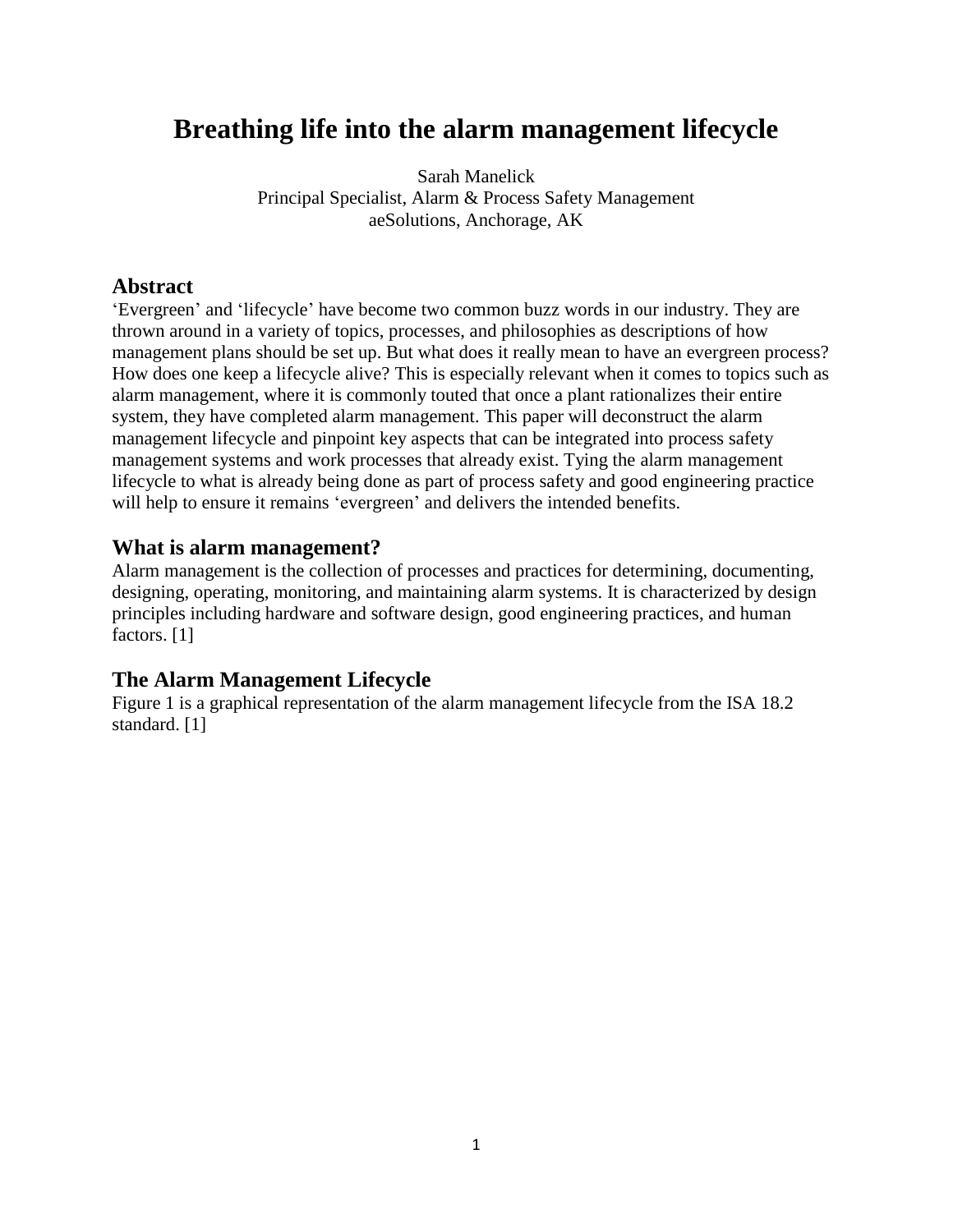# **Breathing life into the alarm management lifecycle**

Sarah Manelick Principal Specialist, Alarm & Process Safety Management aeSolutions, Anchorage, AK

### **Abstract**

'Evergreen' and 'lifecycle' have become two common buzz words in our industry. They are thrown around in a variety of topics, processes, and philosophies as descriptions of how management plans should be set up. But what does it really mean to have an evergreen process? How does one keep a lifecycle alive? This is especially relevant when it comes to topics such as alarm management, where it is commonly touted that once a plant rationalizes their entire system, they have completed alarm management. This paper will deconstruct the alarm management lifecycle and pinpoint key aspects that can be integrated into process safety management systems and work processes that already exist. Tying the alarm management lifecycle to what is already being done as part of process safety and good engineering practice will help to ensure it remains 'evergreen' and delivers the intended benefits.

#### **What is alarm management?**

Alarm management is the collection of processes and practices for determining, documenting, designing, operating, monitoring, and maintaining alarm systems. It is characterized by design principles including hardware and software design, good engineering practices, and human factors. [1]

## **The Alarm Management Lifecycle**

Figure 1 is a graphical representation of the alarm management lifecycle from the ISA 18.2 standard. [1]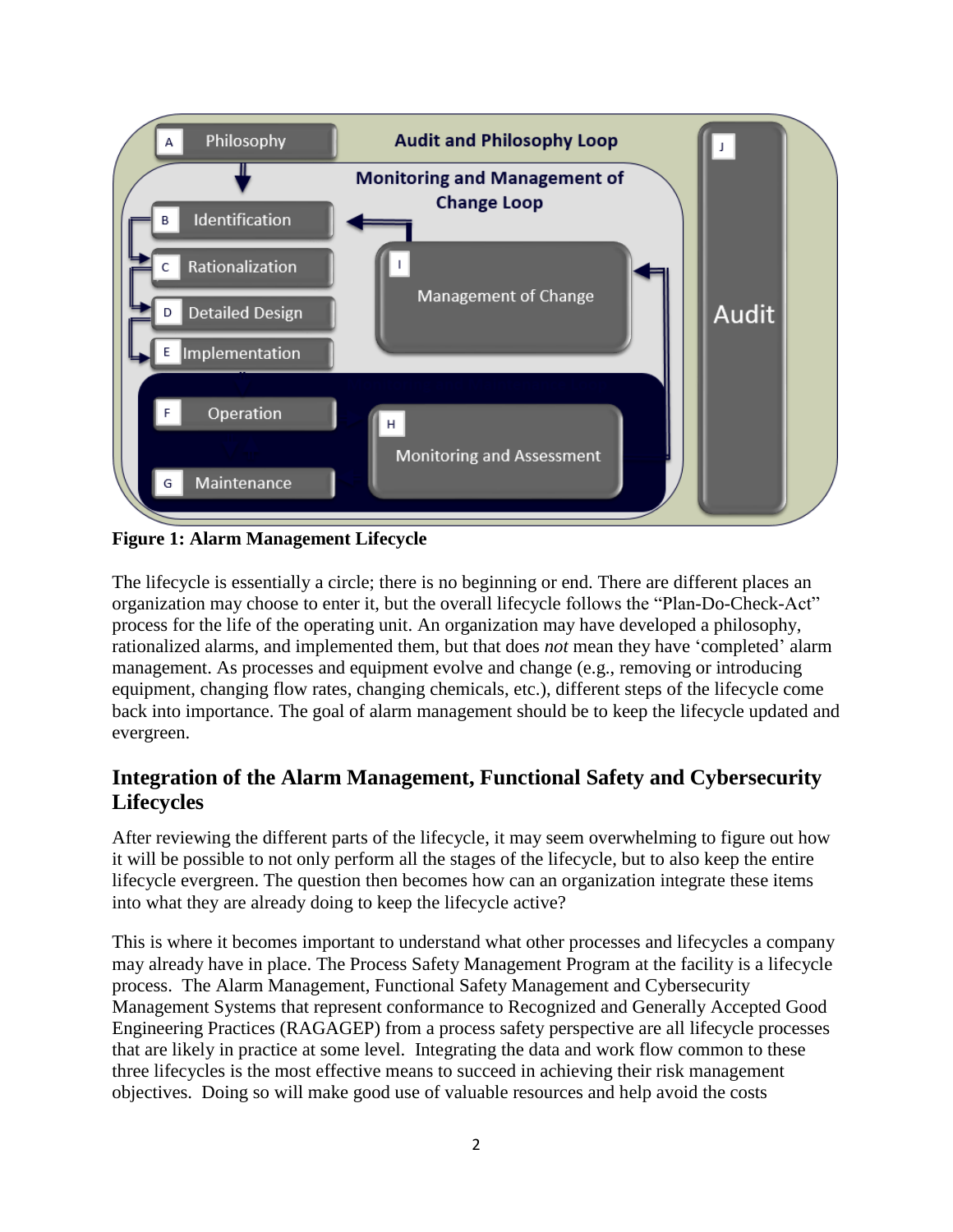

**Figure 1: Alarm Management Lifecycle**

The lifecycle is essentially a circle; there is no beginning or end. There are different places an organization may choose to enter it, but the overall lifecycle follows the "Plan-Do-Check-Act" process for the life of the operating unit. An organization may have developed a philosophy, rationalized alarms, and implemented them, but that does *not* mean they have 'completed' alarm management. As processes and equipment evolve and change (e.g., removing or introducing equipment, changing flow rates, changing chemicals, etc.), different steps of the lifecycle come back into importance. The goal of alarm management should be to keep the lifecycle updated and evergreen.

## **Integration of the Alarm Management, Functional Safety and Cybersecurity Lifecycles**

After reviewing the different parts of the lifecycle, it may seem overwhelming to figure out how it will be possible to not only perform all the stages of the lifecycle, but to also keep the entire lifecycle evergreen. The question then becomes how can an organization integrate these items into what they are already doing to keep the lifecycle active?

This is where it becomes important to understand what other processes and lifecycles a company may already have in place. The Process Safety Management Program at the facility is a lifecycle process. The Alarm Management, Functional Safety Management and Cybersecurity Management Systems that represent conformance to Recognized and Generally Accepted Good Engineering Practices (RAGAGEP) from a process safety perspective are all lifecycle processes that are likely in practice at some level. Integrating the data and work flow common to these three lifecycles is the most effective means to succeed in achieving their risk management objectives. Doing so will make good use of valuable resources and help avoid the costs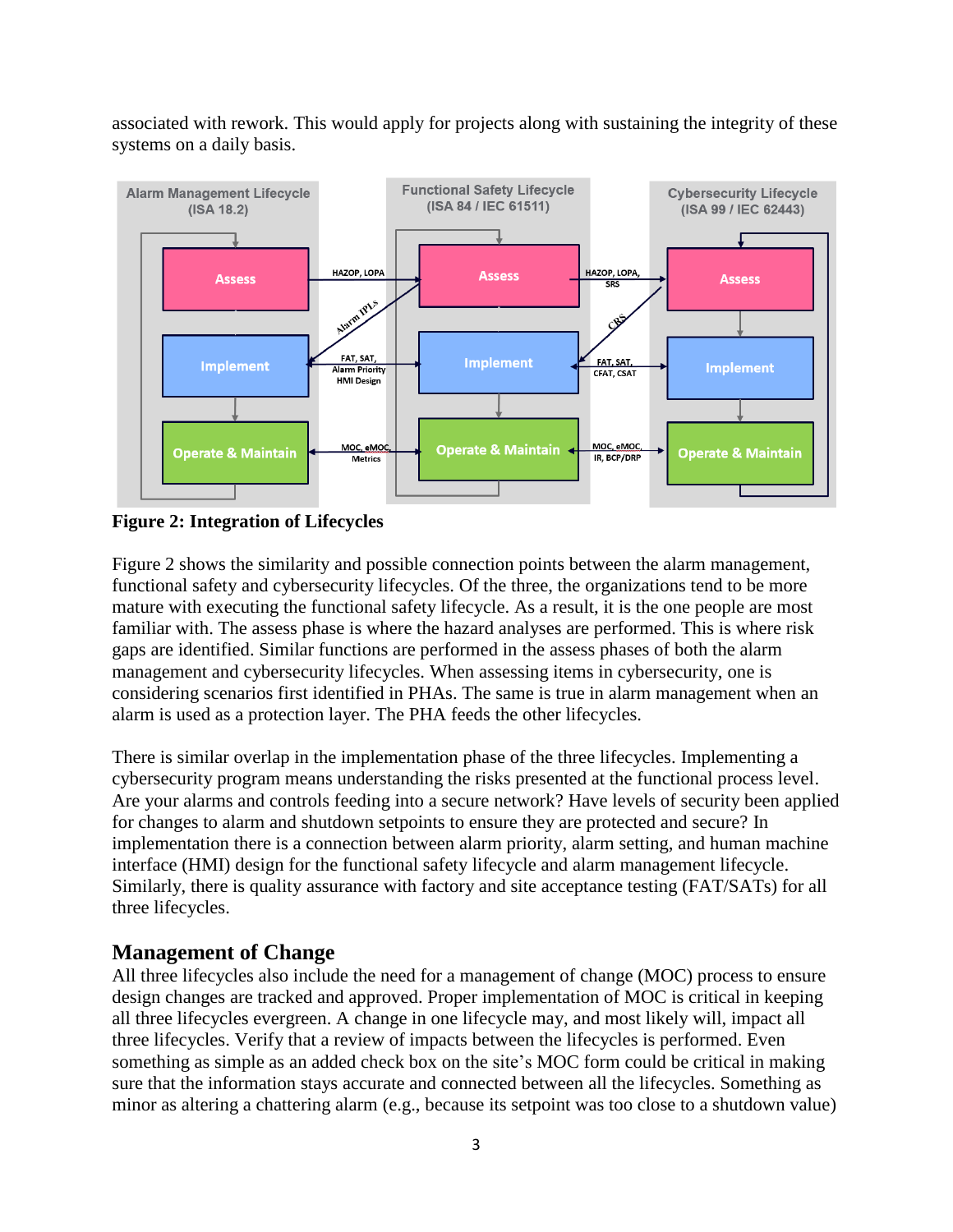associated with rework. This would apply for projects along with sustaining the integrity of these systems on a daily basis.



**Figure 2: Integration of Lifecycles**

Figure 2 shows the similarity and possible connection points between the alarm management, functional safety and cybersecurity lifecycles. Of the three, the organizations tend to be more mature with executing the functional safety lifecycle. As a result, it is the one people are most familiar with. The assess phase is where the hazard analyses are performed. This is where risk gaps are identified. Similar functions are performed in the assess phases of both the alarm management and cybersecurity lifecycles. When assessing items in cybersecurity, one is considering scenarios first identified in PHAs. The same is true in alarm management when an alarm is used as a protection layer. The PHA feeds the other lifecycles.

There is similar overlap in the implementation phase of the three lifecycles. Implementing a cybersecurity program means understanding the risks presented at the functional process level. Are your alarms and controls feeding into a secure network? Have levels of security been applied for changes to alarm and shutdown setpoints to ensure they are protected and secure? In implementation there is a connection between alarm priority, alarm setting, and human machine interface (HMI) design for the functional safety lifecycle and alarm management lifecycle. Similarly, there is quality assurance with factory and site acceptance testing (FAT/SATs) for all three lifecycles.

## **Management of Change**

All three lifecycles also include the need for a management of change (MOC) process to ensure design changes are tracked and approved. Proper implementation of MOC is critical in keeping all three lifecycles evergreen. A change in one lifecycle may, and most likely will, impact all three lifecycles. Verify that a review of impacts between the lifecycles is performed. Even something as simple as an added check box on the site's MOC form could be critical in making sure that the information stays accurate and connected between all the lifecycles. Something as minor as altering a chattering alarm (e.g., because its setpoint was too close to a shutdown value)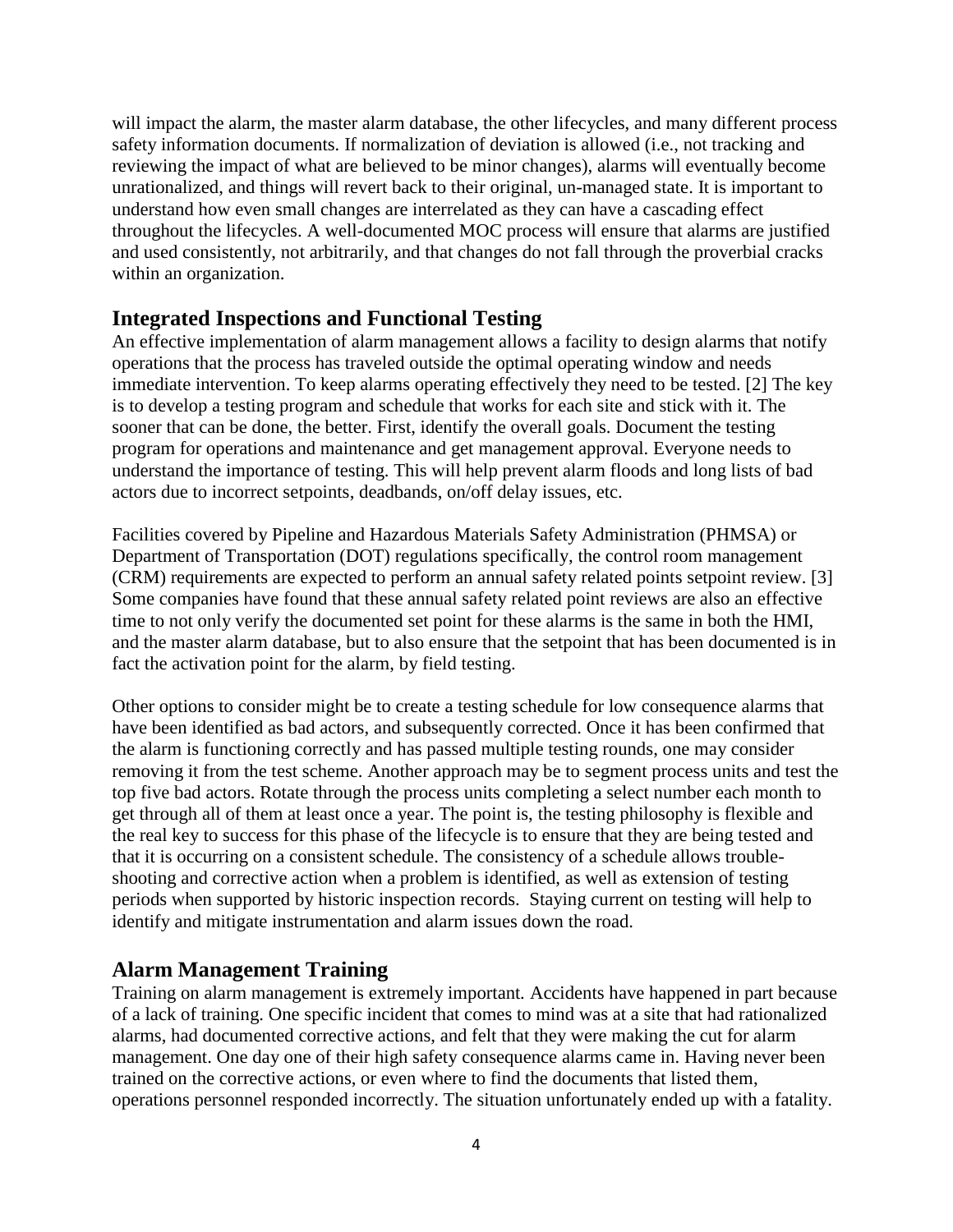will impact the alarm, the master alarm database, the other lifecycles, and many different process safety information documents. If normalization of deviation is allowed (i.e., not tracking and reviewing the impact of what are believed to be minor changes), alarms will eventually become unrationalized, and things will revert back to their original, un-managed state. It is important to understand how even small changes are interrelated as they can have a cascading effect throughout the lifecycles. A well-documented MOC process will ensure that alarms are justified and used consistently, not arbitrarily, and that changes do not fall through the proverbial cracks within an organization.

#### **Integrated Inspections and Functional Testing**

An effective implementation of alarm management allows a facility to design alarms that notify operations that the process has traveled outside the optimal operating window and needs immediate intervention. To keep alarms operating effectively they need to be tested. [2] The key is to develop a testing program and schedule that works for each site and stick with it. The sooner that can be done, the better. First, identify the overall goals. Document the testing program for operations and maintenance and get management approval. Everyone needs to understand the importance of testing. This will help prevent alarm floods and long lists of bad actors due to incorrect setpoints, deadbands, on/off delay issues, etc.

Facilities covered by Pipeline and Hazardous Materials Safety Administration (PHMSA) or Department of Transportation (DOT) regulations specifically, the control room management (CRM) requirements are expected to perform an annual safety related points setpoint review. [3] Some companies have found that these annual safety related point reviews are also an effective time to not only verify the documented set point for these alarms is the same in both the HMI, and the master alarm database, but to also ensure that the setpoint that has been documented is in fact the activation point for the alarm, by field testing.

Other options to consider might be to create a testing schedule for low consequence alarms that have been identified as bad actors, and subsequently corrected. Once it has been confirmed that the alarm is functioning correctly and has passed multiple testing rounds, one may consider removing it from the test scheme. Another approach may be to segment process units and test the top five bad actors. Rotate through the process units completing a select number each month to get through all of them at least once a year. The point is, the testing philosophy is flexible and the real key to success for this phase of the lifecycle is to ensure that they are being tested and that it is occurring on a consistent schedule. The consistency of a schedule allows troubleshooting and corrective action when a problem is identified, as well as extension of testing periods when supported by historic inspection records. Staying current on testing will help to identify and mitigate instrumentation and alarm issues down the road.

## **Alarm Management Training**

Training on alarm management is extremely important*.* Accidents have happened in part because of a lack of training. One specific incident that comes to mind was at a site that had rationalized alarms, had documented corrective actions, and felt that they were making the cut for alarm management. One day one of their high safety consequence alarms came in. Having never been trained on the corrective actions, or even where to find the documents that listed them, operations personnel responded incorrectly. The situation unfortunately ended up with a fatality.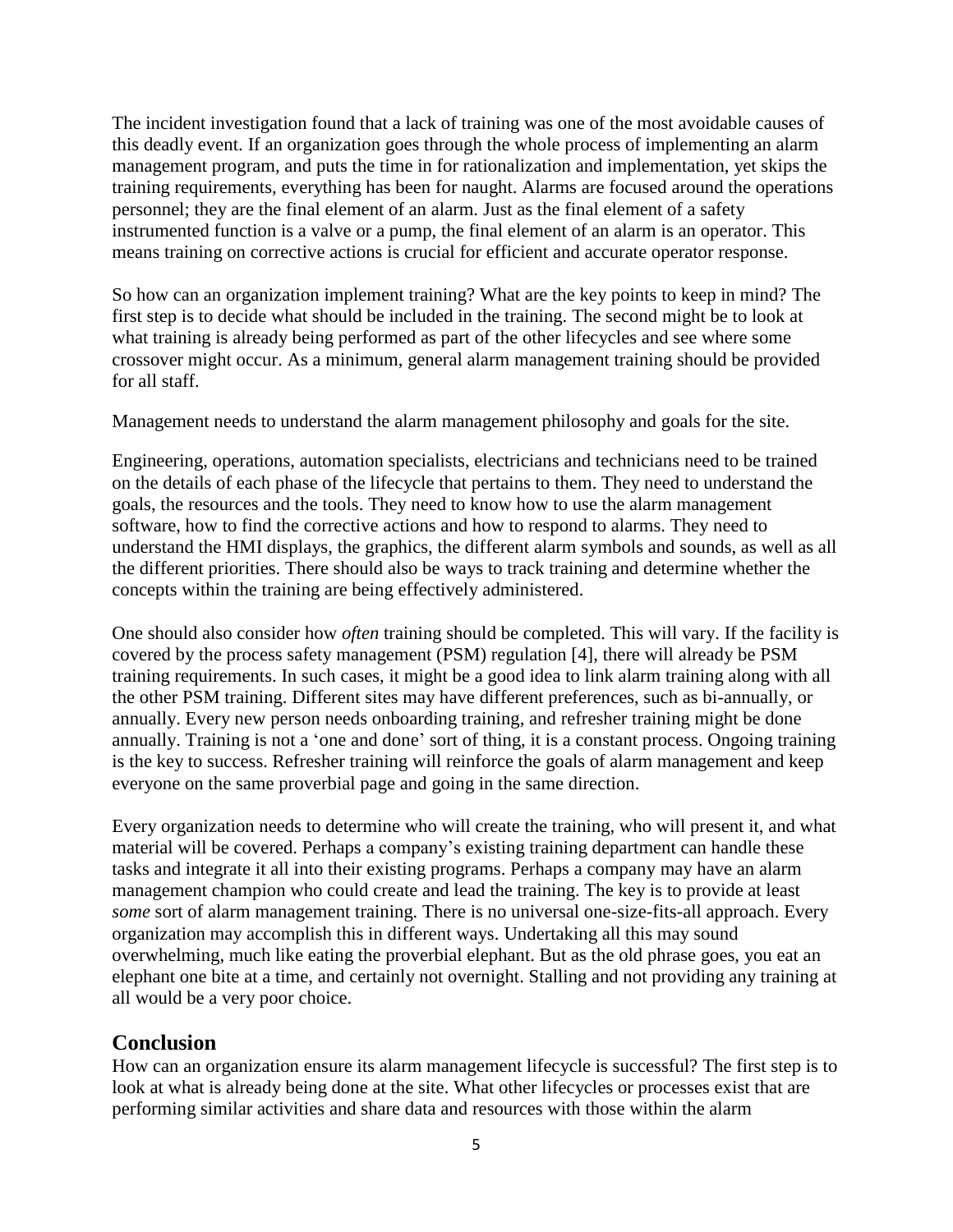The incident investigation found that a lack of training was one of the most avoidable causes of this deadly event. If an organization goes through the whole process of implementing an alarm management program, and puts the time in for rationalization and implementation, yet skips the training requirements, everything has been for naught. Alarms are focused around the operations personnel; they are the final element of an alarm. Just as the final element of a safety instrumented function is a valve or a pump, the final element of an alarm is an operator. This means training on corrective actions is crucial for efficient and accurate operator response.

So how can an organization implement training? What are the key points to keep in mind? The first step is to decide what should be included in the training. The second might be to look at what training is already being performed as part of the other lifecycles and see where some crossover might occur. As a minimum, general alarm management training should be provided for all staff.

Management needs to understand the alarm management philosophy and goals for the site.

Engineering, operations, automation specialists, electricians and technicians need to be trained on the details of each phase of the lifecycle that pertains to them. They need to understand the goals, the resources and the tools. They need to know how to use the alarm management software, how to find the corrective actions and how to respond to alarms. They need to understand the HMI displays, the graphics, the different alarm symbols and sounds, as well as all the different priorities. There should also be ways to track training and determine whether the concepts within the training are being effectively administered.

One should also consider how *often* training should be completed. This will vary. If the facility is covered by the process safety management (PSM) regulation [4], there will already be PSM training requirements. In such cases, it might be a good idea to link alarm training along with all the other PSM training. Different sites may have different preferences, such as bi-annually, or annually. Every new person needs onboarding training, and refresher training might be done annually. Training is not a 'one and done' sort of thing, it is a constant process. Ongoing training is the key to success. Refresher training will reinforce the goals of alarm management and keep everyone on the same proverbial page and going in the same direction.

Every organization needs to determine who will create the training, who will present it, and what material will be covered. Perhaps a company's existing training department can handle these tasks and integrate it all into their existing programs. Perhaps a company may have an alarm management champion who could create and lead the training. The key is to provide at least *some* sort of alarm management training. There is no universal one-size-fits-all approach. Every organization may accomplish this in different ways. Undertaking all this may sound overwhelming, much like eating the proverbial elephant. But as the old phrase goes, you eat an elephant one bite at a time, and certainly not overnight. Stalling and not providing any training at all would be a very poor choice.

#### **Conclusion**

How can an organization ensure its alarm management lifecycle is successful? The first step is to look at what is already being done at the site. What other lifecycles or processes exist that are performing similar activities and share data and resources with those within the alarm